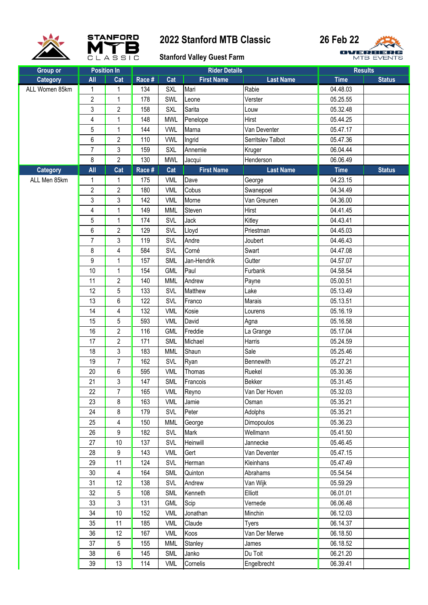





| Group or                          |                | <b>Position In</b><br>Cat | Race # | Cat        | <b>Rider Details</b><br><b>First Name</b> | <b>Last Name</b>  | <b>Results</b><br><b>Time</b> | <b>Status</b> |
|-----------------------------------|----------------|---------------------------|--------|------------|-------------------------------------------|-------------------|-------------------------------|---------------|
| <b>Category</b><br>ALL Women 85km | All<br>1       | $\mathbf 1$               | 134    | <b>SXL</b> | Mari                                      | Rabie             | 04.48.03                      |               |
|                                   | $\overline{2}$ | 1                         | 178    | SWL        | Leone                                     | Verster           | 05.25.55                      |               |
|                                   | 3              | $\overline{2}$            | 158    | <b>SXL</b> | Sarita                                    | Louw              | 05.32.48                      |               |
|                                   | 4              | 1                         | 148    | <b>MWL</b> | Penelope                                  | Hirst             | 05.44.25                      |               |
|                                   | 5              | 1                         | 144    | <b>VWL</b> | Marna                                     | Van Deventer      | 05.47.17                      |               |
|                                   | 6              | $\overline{2}$            | 110    | <b>VWL</b> | Ingrid                                    | Serritslev Talbot | 05.47.36                      |               |
|                                   | $\overline{7}$ | 3                         | 159    | <b>SXL</b> | Annemie                                   | Kruger            | 06.04.44                      |               |
|                                   | 8              | $\overline{2}$            | 130    | <b>MWL</b> | Jacqui                                    | Henderson         | 06.06.49                      |               |
| <b>Category</b>                   | All            | Cat                       | Race # | Cat        | <b>First Name</b>                         | <b>Last Name</b>  | <b>Time</b>                   | <b>Status</b> |
| ALL Men 85km                      | 1              | 1                         | 175    | <b>VML</b> | Dave                                      | George            | 04.23.15                      |               |
|                                   | $\overline{2}$ | $\overline{2}$            | 180    | <b>VML</b> | Cobus                                     | Swanepoel         | 04.34.49                      |               |
|                                   | $\mathfrak{z}$ | 3                         | 142    | <b>VML</b> | Morne                                     | Van Greunen       | 04.36.00                      |               |
|                                   | $\overline{4}$ | 1                         | 149    | <b>MML</b> | Steven                                    | Hirst             | 04.41.45                      |               |
|                                   | 5              | 1                         | 174    | SVL        | Jack                                      | Kitley            | 04.43.41                      |               |
|                                   | 6              | $\overline{2}$            | 129    | SVL        | Lloyd                                     | Priestman         | 04.45.03                      |               |
|                                   | $\overline{7}$ | 3                         | 119    | SVL        | Andre                                     | Joubert           | 04.46.43                      |               |
|                                   | 8              | 4                         | 584    | SVL        | Corné                                     | Swart             | 04.47.08                      |               |
|                                   | 9              | 1                         | 157    | SML        | Jan-Hendrik                               | Gutter            | 04.57.07                      |               |
|                                   | 10             | 1                         | 154    | <b>GML</b> | Paul                                      | Furbank           | 04.58.54                      |               |
|                                   | 11             | $\overline{2}$            | 140    | <b>MML</b> | Andrew                                    | Payne             | 05.00.51                      |               |
|                                   | 12             | 5                         | 133    | SVL        | Matthew                                   | Lake              | 05.13.49                      |               |
|                                   | 13             | 6                         | 122    | SVL        | Franco                                    | Marais            | 05.13.51                      |               |
|                                   | 14             | 4                         | 132    | <b>VML</b> | Kosie                                     | Lourens           | 05.16.19                      |               |
|                                   | 15             | 5                         | 593    | <b>VML</b> | David                                     | Agna              | 05.16.58                      |               |
|                                   | 16             | $\overline{2}$            | 116    | <b>GML</b> | Freddie                                   | La Grange         | 05.17.04                      |               |
|                                   | 17             | $\overline{2}$            | 171    | <b>SML</b> | Michael                                   | Harris            | 05.24.59                      |               |
|                                   | 18             | 3                         | 183    | <b>MML</b> | Shaun                                     | Sale              | 05.25.46                      |               |
|                                   | 19             | $\overline{7}$            | 162    | SVL        | Ryan                                      | Bennewith         | 05.27.21                      |               |
|                                   | 20             | 6                         | 595    | <b>VML</b> | Thomas                                    | Ruekel            | 05.30.36                      |               |
|                                   | 21             | 3                         | 147    | <b>SML</b> | Francois                                  | Bekker            | 05.31.45                      |               |
|                                   | 22             | $\overline{7}$            | 165    | <b>VML</b> | Reyno                                     | Van Der Hoven     | 05.32.03                      |               |
|                                   | 23             | 8                         | 163    | <b>VML</b> | Jamie                                     | Osman             | 05.35.21                      |               |
|                                   | 24             | 8                         | 179    | SVL        | Peter                                     | Adolphs           | 05.35.21                      |               |
|                                   | 25             | 4                         | 150    | <b>MML</b> | George                                    | Dimopoulos        | 05.36.23                      |               |
|                                   | 26             | 9                         | 182    | SVL        | Mark                                      | Wellmann          | 05.41.50                      |               |
|                                   | 27             | 10                        | 137    | SVL        | Heinwill                                  | Jannecke          | 05.46.45                      |               |
|                                   | 28             | 9                         | 143    | <b>VML</b> | Gert                                      | Van Deventer      | 05.47.15                      |               |
|                                   | 29             | 11                        | 124    | SVL        | Herman                                    | Kleinhans         | 05.47.49                      |               |
|                                   | 30             | 4                         | 164    | <b>SML</b> | Quinton                                   | Abrahams          | 05.54.54                      |               |
|                                   | 31             | 12                        | 138    | SVL        | Andrew                                    | Van Wijk          | 05.59.29                      |               |
|                                   | 32             | 5                         | 108    | <b>SML</b> | Kenneth                                   | Elliott           | 06.01.01                      |               |
|                                   | 33             | 3                         | 131    | <b>GML</b> | Scip                                      | Vernede           | 06.06.48                      |               |
|                                   | 34             | 10                        | 152    | <b>VML</b> | Jonathan                                  | Minchin           | 06.12.03                      |               |
|                                   | 35             | 11                        | 185    | <b>VML</b> | Claude                                    | Tyers             | 06.14.37                      |               |
|                                   | 36             | 12                        | 167    | <b>VML</b> | Koos                                      | Van Der Merwe     | 06.18.50                      |               |
|                                   | 37             | 5                         | 155    | <b>MML</b> | Stanley                                   | James             | 06.18.52                      |               |
|                                   | 38             | 6                         | 145    | <b>SML</b> | Janko                                     | Du Toit           | 06.21.20                      |               |
|                                   | 39             | 13                        | 114    | <b>VML</b> | Cornelis                                  | Engelbrecht       | 06.39.41                      |               |
|                                   |                |                           |        |            |                                           |                   |                               |               |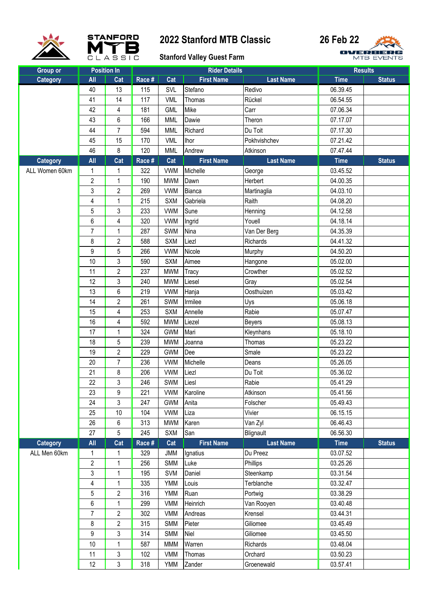





|                             |                | <b>Position In</b> |        |            | <b>Rider Details</b> |                  |             | <b>Results</b> |
|-----------------------------|----------------|--------------------|--------|------------|----------------------|------------------|-------------|----------------|
| <b>Group or</b><br>Category | All            | Cat                | Race # | Cat        | <b>First Name</b>    | <b>Last Name</b> | <b>Time</b> | <b>Status</b>  |
|                             | 40             | 13                 | 115    | SVL        | Stefano              | Redivo           | 06.39.45    |                |
|                             | 41             | 14                 | 117    | <b>VML</b> | Thomas               | Rückel           | 06.54.55    |                |
|                             | 42             | 4                  | 181    | <b>GML</b> | Mike                 | Carr             | 07.06.34    |                |
|                             | 43             | 6                  | 166    | <b>MML</b> | Dawie                | Theron           | 07.17.07    |                |
|                             | 44             | $\overline{7}$     | 594    | <b>MML</b> | Richard              | Du Toit          | 07.17.30    |                |
|                             | 45             | 15                 | 170    | <b>VML</b> | <b>Ihor</b>          | Pokhvishchev     | 07.21.42    |                |
|                             | 46             | 8                  | 120    | <b>MML</b> | Andrew               | Atkinson         | 07.47.44    |                |
| <b>Category</b>             | All            | Cat                | Race # | Cat        | <b>First Name</b>    | <b>Last Name</b> | <b>Time</b> | <b>Status</b>  |
| ALL Women 60km              | 1              | 1                  | 322    | <b>VWM</b> | Michelle             | George           | 03.45.52    |                |
|                             | $\overline{c}$ | $\mathbf{1}$       | 190    | <b>MWM</b> | Dawn                 | Herbert          | 04.00.35    |                |
|                             | 3              | $\overline{2}$     | 269    | <b>VWM</b> | Bianca               | Martinaglia      | 04.03.10    |                |
|                             | 4              | 1                  | 215    | <b>SXM</b> | Gabriela             | Raith            | 04.08.20    |                |
|                             | 5              | 3                  | 233    | <b>VWM</b> | Sune                 | Henning          | 04.12.58    |                |
|                             | 6              | 4                  | 320    | <b>VWM</b> | Ingrid               | Youell           | 04.18.14    |                |
|                             | $\overline{7}$ | 1                  | 287    | <b>SWM</b> | Nina                 | Van Der Berg     | 04.35.39    |                |
|                             | 8              | $\overline{2}$     | 588    | <b>SXM</b> | Liezl                | Richards         | 04.41.32    |                |
|                             | 9              | 5                  | 266    | <b>VWM</b> | Nicole               | Murphy           | 04.50.20    |                |
|                             | 10             | 3                  | 590    | <b>SXM</b> | Aimee                | Hangone          | 05.02.00    |                |
|                             | 11             | $\overline{2}$     | 237    | <b>MWM</b> | Tracy                | Crowther         | 05.02.52    |                |
|                             | 12             | 3                  | 240    | <b>MWM</b> | Liesel               | Gray             | 05.02.54    |                |
|                             | 13             | 6                  | 219    | <b>VWM</b> | Hanja                | Oosthuizen       | 05.03.42    |                |
|                             | 14             | $\overline{2}$     | 261    | <b>SWM</b> | Irmilee              | Uys              | 05.06.18    |                |
|                             | 15             | 4                  | 253    | <b>SXM</b> | Annelle              | Rabie            | 05.07.47    |                |
|                             | 16             | 4                  | 592    | <b>MWM</b> | Liezel               | Beyers           | 05.08.13    |                |
|                             | 17             | $\mathbf{1}$       | 324    | <b>GWM</b> | Mari                 | Kleynhans        | 05.18.10    |                |
|                             | 18             | 5                  | 239    | <b>MWM</b> | Joanna               | Thomas           | 05.23.22    |                |
|                             | 19             | $\overline{c}$     | 229    | <b>GWM</b> | Dee                  | Smale            | 05.23.22    |                |
|                             | 20             | $\overline{7}$     | 236    | <b>VWM</b> | Michelle             | Deans            | 05.26.05    |                |
|                             | 21             | 8                  | 206    | <b>VWM</b> | Liezl                | Du Toit          | 05.36.02    |                |
|                             | 22             | 3                  | 246    | SWM        | Liesl                | Rabie            | 05.41.29    |                |
|                             | 23             | 9                  | 221    | <b>VWM</b> | Karoline             | Atkinson         | 05.41.56    |                |
|                             | 24             | 3                  | 247    | <b>GWM</b> | Anita                | Folscher         | 05.49.43    |                |
|                             | 25             | 10                 | 104    | <b>VWM</b> | Liza                 | Vivier           | 06.15.15    |                |
|                             | 26             | 6                  | 313    | <b>MWM</b> | Karen                | Van Zyl          | 06.46.43    |                |
|                             | 27             | 5                  | 245    | <b>SXM</b> | San                  | Blignault        | 06.56.30    |                |
| <b>Category</b>             | All            | Cat                | Race # | Cat        | <b>First Name</b>    | <b>Last Name</b> | <b>Time</b> | <b>Status</b>  |
| ALL Men 60km                | 1              | 1                  | 329    | <b>JMM</b> | Ignatius             | Du Preez         | 03.07.52    |                |
|                             | $\overline{c}$ | 1                  | 256    | <b>SMM</b> | Luke                 | Phillips         | 03.25.26    |                |
|                             | 3              | 1                  | 195    | <b>SVM</b> | Daniel               | Steenkamp        | 03.31.54    |                |
|                             | 4              | 1                  | 335    | <b>YMM</b> | Louis                | Terblanche       | 03.32.47    |                |
|                             | 5              | $\overline{c}$     | 316    | <b>YMM</b> | Ruan                 | Portwig          | 03.38.29    |                |
|                             | 6              | 1                  | 299    | VMM        | Heinrich             | Van Rooyen       | 03.40.48    |                |
|                             | $\overline{7}$ | $\overline{c}$     | 302    | VMM        | Andreas              | Krensel          | 03.44.31    |                |
|                             | 8              | $\overline{c}$     | 315    | <b>SMM</b> | Pieter               | Giliomee         | 03.45.49    |                |
|                             | 9              | 3                  | 314    | SMM        | Niel                 | Giliomee         | 03.45.50    |                |
|                             | 10             | 1                  | 587    | <b>MMM</b> | Warren               | Richards         | 03.48.04    |                |
|                             | 11             | 3                  | 102    | <b>VMM</b> | Thomas               | Orchard          | 03.50.23    |                |
|                             | 12             | 3                  | 318    | YMM        | Zander               | Groenewald       | 03.57.41    |                |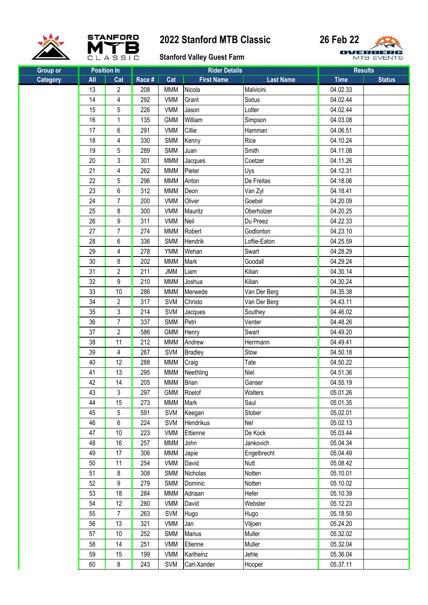





| <b>Group or</b> | <b>Position In</b> |                | <b>Rider Details</b> |            |                   | <b>Results</b>   |             |               |
|-----------------|--------------------|----------------|----------------------|------------|-------------------|------------------|-------------|---------------|
| <b>Category</b> | All                | Cat            | Race #               | Cat        | <b>First Name</b> | <b>Last Name</b> | <b>Time</b> | <b>Status</b> |
|                 | 13                 | $\overline{c}$ | 208                  | <b>MMM</b> | Nicola            | Malvicini        | 04.02.33    |               |
|                 | 14                 | 4              | 292                  | <b>VMM</b> | Grant             | <b>Sixtus</b>    | 04.02.44    |               |
|                 | 15                 | 5              | 226                  | <b>VMM</b> | Jason             | Lotter           | 04.02.44    |               |
|                 | 16                 | 1              | 135                  | <b>GMM</b> | William           | Simpson          | 04.03.08    |               |
|                 | 17                 | 6              | 291                  | <b>VMM</b> | Cillie            | Hamman           | 04.06.51    |               |
|                 | 18                 | 4              | 330                  | <b>SMM</b> | Kenny             | Rice             | 04.10.24    |               |
|                 | 19                 | 5              | 289                  | <b>SMM</b> | Juan              | Smith            | 04.11.08    |               |
|                 | 20                 | 3              | 301                  | <b>MMM</b> | Jacques           | Coetzer          | 04.11.26    |               |
|                 | 21                 | 4              | 262                  | <b>MMM</b> | Pieter            | Uys              | 04.12.31    |               |
|                 | 22                 | 5              | 296                  | <b>MMM</b> | Anton             | De Freitas       | 04.18.06    |               |
|                 | 23                 | 6              | 312                  | <b>MMM</b> | Deon              | Van Zyl          | 04.18.41    |               |
|                 | 24                 | $\overline{7}$ | 200                  | <b>VMM</b> | Oliver            | Goebel           | 04.20.09    |               |
|                 | 25                 | 8              | 300                  | <b>VMM</b> | Mauritz           | Oberholzer       | 04.20.25    |               |
|                 | 26                 | 9              | 311                  | <b>VMM</b> | Neil              | Du Preez         | 04.22.33    |               |
|                 | 27                 | $\overline{7}$ | 274                  | <b>MMM</b> | Robert            | Godlonton        | 04.23.10    |               |
|                 | 28                 | 6              | 336                  | <b>SMM</b> | Hendrik           | Loftie-Eaton     | 04.25.59    |               |
|                 | 29                 | 4              | 278                  | <b>YMM</b> | Wehan             | Swart            | 04.28.29    |               |
|                 | 30                 | 8              | 202                  | <b>MMM</b> | Mark              | Goodall          | 04.29.24    |               |
|                 | 31                 | $\overline{2}$ | 211                  | <b>JMM</b> | Liam              | Kilian           | 04.30.14    |               |
|                 | 32                 | 9              | 210                  | <b>MMM</b> | Joshua            | Kilian           | 04.30.24    |               |
|                 | 33                 | 10             | 286                  | <b>MMM</b> | Merwede           | Van Der Berg     | 04.35.38    |               |
|                 | 34                 | $\overline{c}$ | 317                  | <b>SVM</b> | Christo           | Van Der Berg     | 04.43.11    |               |
|                 | 35                 | 3              | 214                  | <b>SVM</b> | Jacques           | Southey          | 04.46.02    |               |
|                 | 36                 | $\overline{7}$ | 337                  | <b>SMM</b> | Petri             | Venter           | 04.48.26    |               |
|                 | 37                 | $\overline{2}$ | 586                  | <b>GMM</b> | Henry             | Swart            | 04.49.20    |               |
|                 | 38                 | 11             | 212                  | <b>MMM</b> | Andrew            | Herrmann         | 04.49.41    |               |
|                 | 39                 | 4              | 267                  | SVM        | <b>Bradley</b>    | Stow             | 04.50.18    |               |
|                 | 40                 | 12             | 288                  | <b>MMM</b> | Craig             | Tate             | 04.50.22    |               |
|                 | 41                 | 13             | 295                  | <b>MMM</b> | Neethling         | Niel             | 04.51.36    |               |
|                 | 42                 | 14             | 205                  | <b>MMM</b> | Brian             | Ganser           | 04.55.19    |               |
|                 | 43                 | 3              | 297                  | <b>GMM</b> | Roelof            | Walters          | 05.01.26    |               |
|                 | 44                 | 15             | 273                  | <b>MMM</b> | Mark              | Saul             | 05.01.35    |               |
|                 | 45                 | 5              | 591                  | SVM        | Keegan            | Stober           | 05.02.01    |               |
|                 | 46                 | 6              | 224                  | <b>SVM</b> | Hendrikus         | Nel              | 05.02.13    |               |
|                 | 47                 | 10             | 223                  | <b>VMM</b> | Ettienne          | De Kock          | 05.03.44    |               |
|                 | 48                 | 16             | 257                  | <b>MMM</b> | John              | Jankovich        | 05.04.34    |               |
|                 | 49                 | 17             | 306                  | <b>MMM</b> | Japie             | Engelbrecht      | 05.04.49    |               |
|                 | 50                 | 11             | 254                  | <b>VMM</b> | David             | <b>Nutt</b>      | 05.08.42    |               |
|                 | 51                 | 8              | 308                  | <b>SMM</b> | Nicholas          | Notten           | 05.10.01    |               |
|                 | 52                 | 9              | 279                  | <b>SMM</b> | Dominic           | Notten           | 05.10.02    |               |
|                 | 53                 | 18             | 284                  | <b>MMM</b> | Adriaan           | Hefer            | 05.10.39    |               |
|                 | 54                 | 12             | 280                  | <b>VMM</b> | David             | Webster          | 05.12.23    |               |
|                 | 55                 | $\overline{7}$ | 263                  | SVM        | Hugo              | Hugo             | 05.18.50    |               |
|                 | 56                 | 13             | 321                  | <b>VMM</b> | Jan               | Viljoen          | 05.24.20    |               |
|                 | 57                 | $10$           | 252                  | <b>SMM</b> | <b>Marius</b>     | Muller           | 05.32.02    |               |
|                 | 58                 | 14             | 251                  | <b>VMM</b> | Etienne           | Muller           | 05.32.04    |               |
|                 | 59                 | 15             | 199                  | <b>VMM</b> | Karlheinz         | Jehle            | 05.36.04    |               |
|                 | 60                 | 8              | 243                  | <b>SVM</b> | Carl-Xander       | Hooper           | 05.37.11    |               |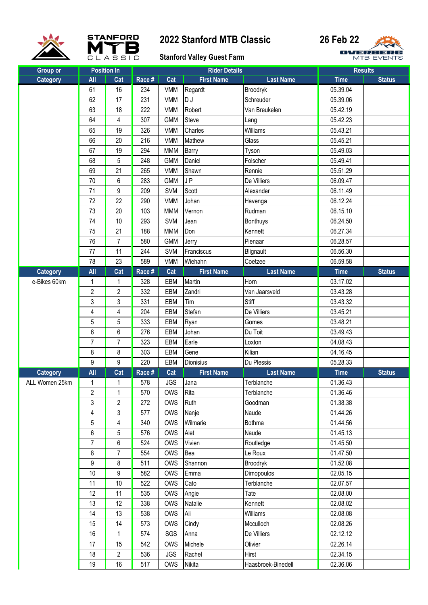



### **Stanford Valley Guest Farm**

| <b>Group or</b> |                         | <b>Position In</b>      | <b>Rider Details</b> |            |                   |                    | <b>Results</b> |               |
|-----------------|-------------------------|-------------------------|----------------------|------------|-------------------|--------------------|----------------|---------------|
| <b>Category</b> | All                     | Cat                     | Race #               | Cat        | <b>First Name</b> | <b>Last Name</b>   | <b>Time</b>    | <b>Status</b> |
|                 | 61                      | 16                      | 234                  | <b>VMM</b> | Regardt           | Broodryk           | 05.39.04       |               |
|                 | 62                      | 17                      | 231                  | <b>VMM</b> | D J               | Schreuder          | 05.39.06       |               |
|                 | 63                      | 18                      | 222                  | <b>VMM</b> | Robert            | Van Breukelen      | 05.42.19       |               |
|                 | 64                      | 4                       | 307                  | <b>GMM</b> | <b>Steve</b>      | Lang               | 05.42.23       |               |
|                 | 65                      | 19                      | 326                  | <b>VMM</b> | Charles           | Williams           | 05.43.21       |               |
|                 | 66                      | 20                      | 216                  | <b>VMM</b> | Mathew            | Glass              | 05.45.21       |               |
|                 | 67                      | 19                      | 294                  | <b>MMM</b> | Barry             | Tyson              | 05.49.03       |               |
|                 | 68                      | 5                       | 248                  | <b>GMM</b> | Daniel            | Folscher           | 05.49.41       |               |
|                 | 69                      | 21                      | 265                  | <b>VMM</b> | Shawn             | Rennie             | 05.51.29       |               |
|                 | 70                      | 6                       | 283                  | <b>GMM</b> | JP                | De Villiers        | 06.09.47       |               |
|                 | 71                      | 9                       | 209                  | <b>SVM</b> | Scott             | Alexander          | 06.11.49       |               |
|                 | 72                      | 22                      | 290                  | <b>VMM</b> | Johan             | Havenga            | 06.12.24       |               |
|                 | 73                      | 20                      | 103                  | <b>MMM</b> | Vernon            | Rudman             | 06.15.10       |               |
|                 | 74                      | 10                      | 293                  | <b>SVM</b> | Jean              | <b>Bonthuys</b>    | 06.24.50       |               |
|                 | 75                      | 21                      | 188                  | <b>MMM</b> | Don               | Kennett            | 06.27.34       |               |
|                 | 76                      | $\overline{7}$          | 580                  | <b>GMM</b> | Jerry             | Pienaar            | 06.28.57       |               |
|                 | 77                      | 11                      | 244                  | <b>SVM</b> | Franciscus        | Blignault          | 06.56.30       |               |
|                 | 78                      | 23                      | 589                  | <b>VMM</b> | Wiehahn           | Coetzee            | 06.59.58       |               |
| Category        | All                     | Cat                     | Race #               | Cat        | <b>First Name</b> | <b>Last Name</b>   | <b>Time</b>    | <b>Status</b> |
| e-Bikes 60km    | 1                       | 1                       | 328                  | EBM        | Martin            | Horn               | 03.17.02       |               |
|                 | $\overline{\mathbf{c}}$ | $\overline{c}$          | 332                  | EBM        | Zandri            | Van Jaarsveld      | 03.43.28       |               |
|                 | 3                       | 3                       | 331                  | EBM        | Tim               | Stiff              | 03.43.32       |               |
|                 | 4                       | 4                       | 204                  | EBM        | Stefan            | De Villiers        | 03.45.21       |               |
|                 | 5                       | 5                       | 333                  | EBM        | Ryan              | Gomes              | 03.48.21       |               |
|                 | 6                       | 6                       | 276                  | EBM        | Johan             | Du Toit            | 03.49.43       |               |
|                 | $\overline{7}$          | 7                       | 323                  | EBM        | Earle             | Loxton             | 04.08.43       |               |
|                 | 8                       | 8                       | 303                  | EBM        | Gene              | Kilian             | 04.16.45       |               |
|                 | 9                       | 9                       | 220                  | EBM        | <b>Dionisius</b>  | Du Plessis         | 05.28.33       |               |
| <b>Category</b> | All                     | Cat                     | Race #               | Cat        | <b>First Name</b> | <b>Last Name</b>   | <b>Time</b>    | <b>Status</b> |
| ALL Women 25km  | $\mathbf{1}$            | $\mathbf{1}$            | 578                  | <b>JGS</b> | Jana              | Terblanche         | 01.36.43       |               |
|                 | $\overline{2}$          | 1                       | 570                  | OWS        | Rita              | Terblanche         | 01.36.46       |               |
|                 | 3                       | $\overline{\mathbf{c}}$ | 272                  | OWS        | Ruth              | Goodman            | 01.38.38       |               |
|                 | 4                       | 3                       | 577                  | OWS        | Nanje             | Naude              | 01.44.26       |               |
|                 | 5                       | $\overline{\mathbf{4}}$ | 340                  | OWS        | Wilmarie          | Bothma             | 01.44.56       |               |
|                 | 6                       | 5                       | 576                  | OWS        | Alet              | Naude              | 01.45.13       |               |
|                 | $\overline{7}$          | 6                       | 524                  | OWS        | Vivien            | Routledge          | 01.45.50       |               |
|                 | 8                       | $\overline{7}$          | 554                  | OWS        | Bea               | Le Roux            | 01.47.50       |               |
|                 | 9                       | 8                       | 511                  | OWS        | Shannon           | Broodryk           | 01.52.08       |               |
|                 | 10                      | 9                       | 582                  | <b>OWS</b> | Emma              | Dimopoulos         | 02.05.15       |               |
|                 | 11                      | 10                      | 522                  | <b>OWS</b> | Cato              | Terblanche         | 02.07.57       |               |
|                 | 12                      | 11                      | 535                  | OWS        | Angie             | Tate               | 02.08.00       |               |
|                 | 13                      | 12                      | 338                  | <b>OWS</b> | Natalie           | Kennett            | 02.08.02       |               |
|                 | 14                      | 13                      | 538                  | OWS        | Ali               | Williams           | 02.08.08       |               |
|                 | 15                      | 14                      | 573                  | OWS        | Cindy             | Mcculloch          | 02.08.26       |               |
|                 | 16                      | 1                       | 574                  | SGS        | Anna              | De Villiers        | 02.12.12       |               |
|                 | 17                      | 15                      | 542                  | OWS        | Michele           | Olivier            | 02.26.14       |               |
|                 | 18                      | 2                       | 536                  | <b>JGS</b> | Rachel            | Hirst              | 02.34.15       |               |
|                 | 19                      | 16                      | 517                  | <b>OWS</b> | Nikita            | Haasbroek-Binedell | 02.36.06       |               |
|                 |                         |                         |                      |            |                   |                    |                |               |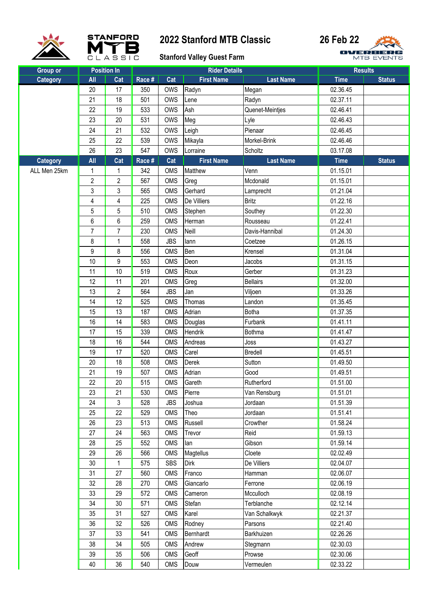





| <b>Group or</b> |                | <b>Position In</b> | <b>Rider Details</b> |            |                   | <b>Results</b>   |             |               |
|-----------------|----------------|--------------------|----------------------|------------|-------------------|------------------|-------------|---------------|
| <b>Category</b> | All            | Cat                | Race #               | Cat        | <b>First Name</b> | <b>Last Name</b> | <b>Time</b> | <b>Status</b> |
|                 | 20             | 17                 | 350                  | OWS        | Radyn             | Megan            | 02.36.45    |               |
|                 | 21             | 18                 | 501                  | <b>OWS</b> | Lene              | Radyn            | 02.37.11    |               |
|                 | 22             | 19                 | 533                  | OWS        | Ash               | Quenet-Meintjes  | 02.46.41    |               |
|                 | 23             | 20                 | 531                  | <b>OWS</b> | Meg               | Lyle             | 02.46.43    |               |
|                 | 24             | 21                 | 532                  | <b>OWS</b> | Leigh             | Pienaar          | 02.46.45    |               |
|                 | 25             | 22                 | 539                  | <b>OWS</b> | Mikayla           | Morkel-Brink     | 02.46.46    |               |
|                 | 26             | 23                 | 547                  | OWS        | Lorraine          | Scholtz          | 03.17.08    |               |
| <b>Category</b> | All            | Cat                | Race #               | Cat        | <b>First Name</b> | <b>Last Name</b> | <b>Time</b> | <b>Status</b> |
| ALL Men 25km    | 1              | 1                  | 342                  | OMS        | Matthew           | Venn             | 01.15.01    |               |
|                 | $\overline{c}$ | $\overline{2}$     | 567                  | OMS        | Greg              | Mcdonald         | 01.15.01    |               |
|                 | 3              | 3                  | 565                  | <b>OMS</b> | Gerhard           | Lamprecht        | 01.21.04    |               |
|                 | 4              | 4                  | 225                  | <b>OMS</b> | De Villiers       | <b>Britz</b>     | 01.22.16    |               |
|                 | 5              | 5                  | 510                  | <b>OMS</b> | Stephen           | Southey          | 01.22.30    |               |
|                 | 6              | 6                  | 259                  | OMS        | Herman            | Rousseau         | 01.22.41    |               |
|                 | $\overline{7}$ | $\overline{7}$     | 230                  | OMS        | Neill             | Davis-Hannibal   | 01.24.30    |               |
|                 | 8              | 1                  | 558                  | <b>JBS</b> | lann              | Coetzee          | 01.26.15    |               |
|                 | 9              | 8                  | 556                  | <b>OMS</b> | Ben               | Krensel          | 01.31.04    |               |
|                 | 10             | 9                  | 553                  | OMS        | Deon              | Jacobs           | 01.31.15    |               |
|                 | 11             | 10                 | 519                  | <b>OMS</b> | Roux              | Gerber           | 01.31.23    |               |
|                 | 12             | 11                 | 201                  | OMS        | Greg              | <b>Bellairs</b>  | 01.32.00    |               |
|                 | 13             | $\overline{2}$     | 564                  | <b>JBS</b> | Jan               | Viljoen          | 01.33.26    |               |
|                 | 14             | 12                 | 525                  | <b>OMS</b> | Thomas            | Landon           | 01.35.45    |               |
|                 | 15             | 13                 | 187                  | <b>OMS</b> | Adrian            | <b>Botha</b>     | 01.37.35    |               |
|                 | 16             | 14                 | 583                  | OMS        | Douglas           | Furbank          | 01.41.11    |               |
|                 | 17             | 15                 | 339                  | <b>OMS</b> | Hendrik           | <b>Bothma</b>    | 01.41.47    |               |
|                 | 18             | 16                 | 544                  | OMS        | Andreas           | Joss             | 01.43.27    |               |
|                 | 19             | 17                 | 520                  | <b>OMS</b> | Carel             | Bredell          | 01.45.51    |               |
|                 | 20             | 18                 | 508                  | OMS        | Derek             | Sutton           | 01.49.50    |               |
|                 | 21             | 19                 | 507                  | OMS        | Adrian            | Good             | 01.49.51    |               |
|                 | 22             | 20                 | 515                  | OMS        | Gareth            | Rutherford       | 01.51.00    |               |
|                 | 23             | 21                 | 530                  | OMS        | Pierre            | Van Rensburg     | 01.51.01    |               |
|                 | 24             | 3                  | 528                  | <b>JBS</b> | Joshua            | Jordaan          | 01.51.39    |               |
|                 | 25             | 22                 | 529                  | OMS        | Theo              | Jordaan          | 01.51.41    |               |
|                 | 26             | 23                 | 513                  | OMS        | Russell           | Crowther         | 01.58.24    |               |
|                 | 27             | 24                 | 563                  | OMS        | Trevor            | Reid             | 01.59.13    |               |
|                 | 28             | 25                 | 552                  | OMS        | lan               | Gibson           | 01.59.14    |               |
|                 | 29             | 26                 | 566                  | OMS        | Magtellus         | Cloete           | 02.02.49    |               |
|                 | 30             | $\mathbf{1}$       | 575                  | <b>SBS</b> | <b>Dirk</b>       | De Villiers      | 02.04.07    |               |
|                 | 31             | 27                 | 560                  | OMS        | Franco            | Hamman           | 02.06.07    |               |
|                 | 32             | 28                 | 270                  | OMS        | Giancarlo         | Ferrone          | 02.06.19    |               |
|                 | 33             | 29                 | 572                  | OMS        | Cameron           | Mcculloch        | 02.08.19    |               |
|                 | 34             | 30                 | 571                  | OMS        | Stefan            | Terblanche       | 02.12.14    |               |
|                 | 35             | 31                 | 527                  | OMS        | Karel             | Van Schalkwyk    | 02.21.37    |               |
|                 | 36             | 32                 | 526                  | OMS        | Rodney            | Parsons          | 02.21.40    |               |
|                 | 37             | 33                 | 541                  | OMS        | Bernhardt         | Barkhuizen       | 02.26.26    |               |
|                 | 38             | 34                 | 505                  | OMS        | Andrew            | Stegmann         | 02.30.03    |               |
|                 | 39             | 35                 | 506                  | OMS        | Geoff             | Prowse           | 02.30.06    |               |
|                 | 40             | 36                 | 540                  | OMS        | Douw              | Vermeulen        | 02.33.22    |               |